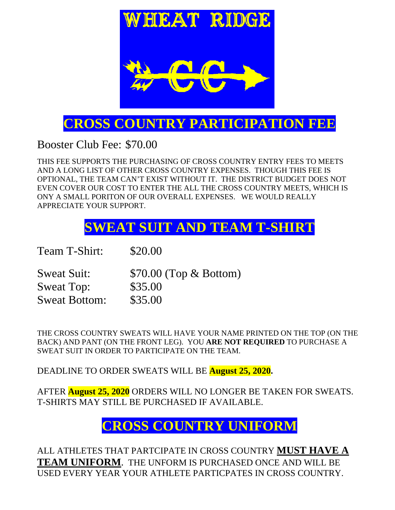

## **CROSS COUNTRY PARTICIPATION FEE**

Booster Club Fee: \$70.00

THIS FEE SUPPORTS THE PURCHASING OF CROSS COUNTRY ENTRY FEES TO MEETS AND A LONG LIST OF OTHER CROSS COUNTRY EXPENSES. THOUGH THIS FEE IS OPTIONAL, THE TEAM CAN'T EXIST WITHOUT IT. THE DISTRICT BUDGET DOES NOT EVEN COVER OUR COST TO ENTER THE ALL THE CROSS COUNTRY MEETS, WHICH IS ONY A SMALL PORITON OF OUR OVERALL EXPENSES. WE WOULD REALLY APPRECIATE YOUR SUPPORT.

# **SWEAT SUIT AND TEAM T-SHIRT**

Team T-Shirt: \$20.00

Sweat Suit: \$70.00 (Top & Bottom) Sweat Top: \$35.00 Sweat Bottom: \$35.00

THE CROSS COUNTRY SWEATS WILL HAVE YOUR NAME PRINTED ON THE TOP (ON THE BACK) AND PANT (ON THE FRONT LEG). YOU **ARE NOT REQUIRED** TO PURCHASE A SWEAT SUIT IN ORDER TO PARTICIPATE ON THE TEAM.

DEADLINE TO ORDER SWEATS WILL BE **August 25, 2020.** 

AFTER **August 25, 2020** ORDERS WILL NO LONGER BE TAKEN FOR SWEATS. T-SHIRTS MAY STILL BE PURCHASED IF AVAILABLE.

## **CROSS COUNTRY UNIFORM**

ALL ATHLETES THAT PARTCIPATE IN CROSS COUNTRY **MUST HAVE A TEAM UNIFORM**. THE UNFORM IS PURCHASED ONCE AND WILL BE USED EVERY YEAR YOUR ATHLETE PARTICPATES IN CROSS COUNTRY.